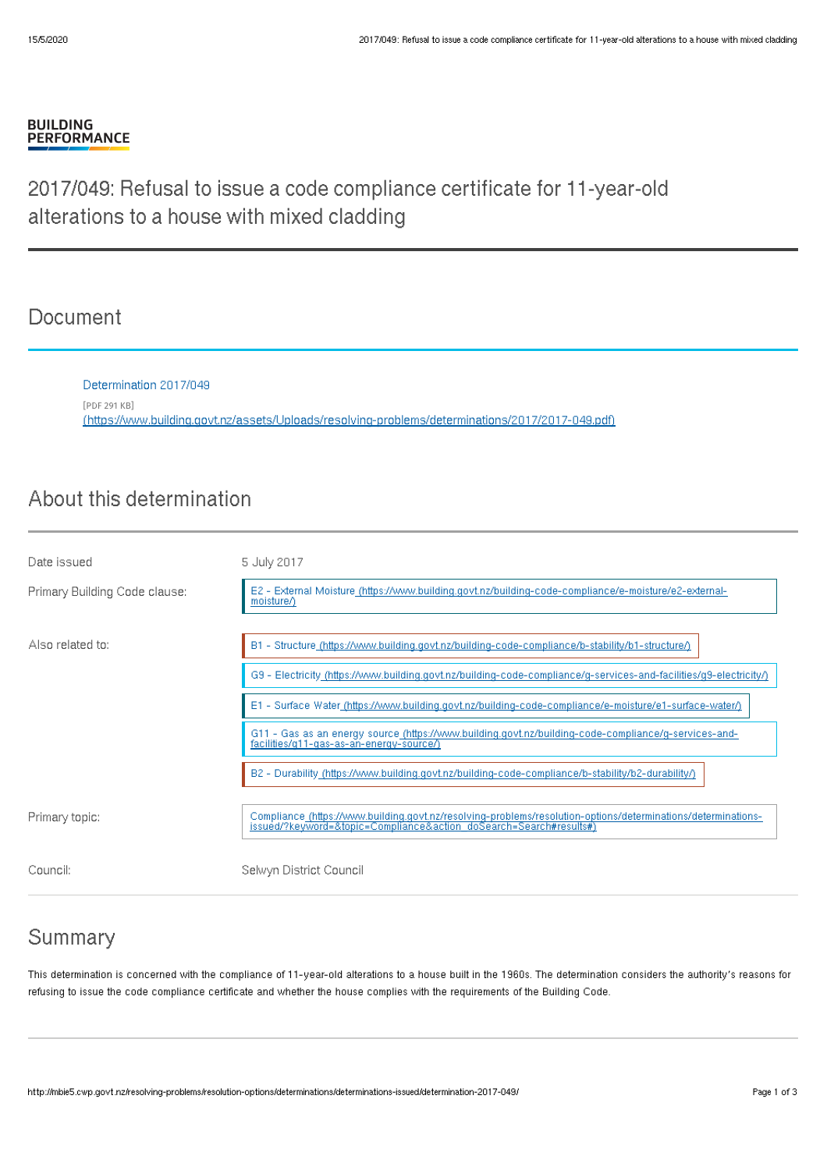#### **BUILDING PERFORMANCE**

# 2017/049: Refusal to issue a code compliance certificate for 11-year-old alterations to a house with mixed cladding

## **Document**

Determination 2017/049 [PDF 291 KB] [\(https://www.building.govt.nz/assets/Uploads/resolving-problems/determinations/2017/2017-049.pdf\)](http://mbie5.cwp.govt.nz/assets/Uploads/resolving-problems/determinations/2017/2017-049.pdf)

# About this determination

| Date issued                   | 5 July 2017                                                                                                                                                                         |
|-------------------------------|-------------------------------------------------------------------------------------------------------------------------------------------------------------------------------------|
| Primary Building Code clause: | E2 - External Moisture (https://www.building.govt.nz/building-code-compliance/e-moisture/e2-external-<br>moisture/)                                                                 |
| Also related to:              | B1 - Structure (https://www.building.govt.nz/building-code-compliance/b-stability/b1-structure/)                                                                                    |
|                               | G9 - Electricity_(https://www.building.govt.nz/building-code-compliance/g-services-and-facilities/g9-electricity/)                                                                  |
|                               | E1 - Surface Water (https://www.building.govt.nz/building-code-compliance/e-moisture/e1-surface-water/)                                                                             |
|                               | G11 - Gas as an energy source (https://www.building.govt.nz/building-code-compliance/g-services-and-<br>facilities/g11-gas-as-an-energy-source/)                                    |
|                               | B2 - Durability_(https://www.building.govt.nz/building-code-compliance/b-stability/b2-durability/)                                                                                  |
| Primary topic:                | Compliance (https://www.building.govt.nz/resolving-problems/resolution-options/determinations/determinations-<br>issued/?keyword=&topic=Compliance&action_doSearch=Search#results#) |
| Council:                      | Selwyn District Council                                                                                                                                                             |

### Summary

This determination is concerned with the compliance of 11-year-old alterations to a house built in the 1960s. The determination considers the authority's reasons for refusing to issue the code compliance certificate and whether the house complies with the requirements of the Building Code.